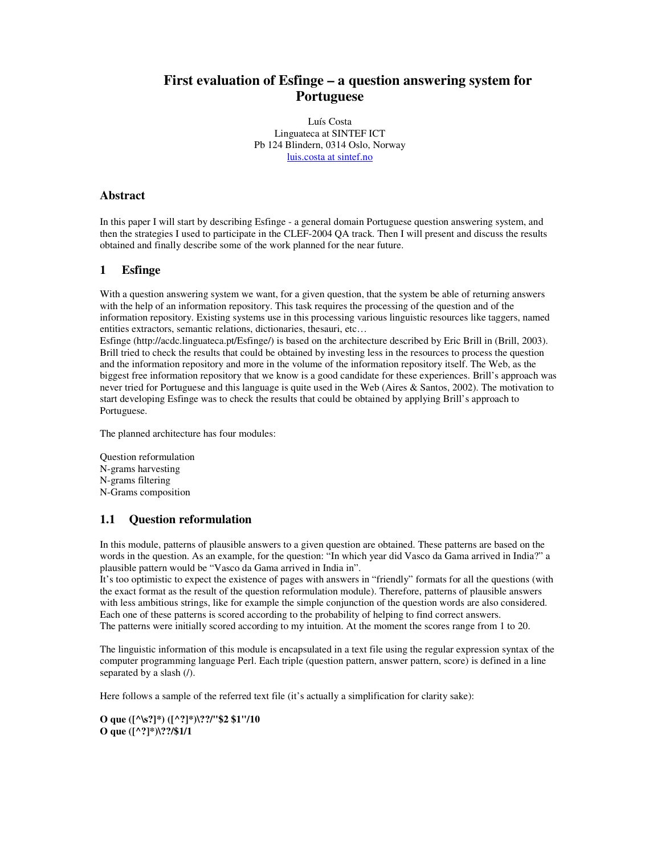# **First evaluation of Esfinge – a question answering system for Portuguese**

Luís Costa Linguateca at SINTEF ICT Pb 124 Blindern, 0314 Oslo, Norway luis.costa at sintef.no

#### **Abstract**

In this paper I will start by describing Esfinge - a general domain Portuguese question answering system, and then the strategies I used to participate in the CLEF-2004 QA track. Then I will present and discuss the results obtained and finally describe some of the work planned for the near future.

## **1 Esfinge**

With a question answering system we want, for a given question, that the system be able of returning answers with the help of an information repository. This task requires the processing of the question and of the information repository. Existing systems use in this processing various linguistic resources like taggers, named entities extractors, semantic relations, dictionaries, thesauri, etc…

Esfinge (http://acdc.linguateca.pt/Esfinge/) is based on the architecture described by Eric Brill in (Brill, 2003). Brill tried to check the results that could be obtained by investing less in the resources to process the question and the information repository and more in the volume of the information repository itself. The Web, as the biggest free information repository that we know is a good candidate for these experiences. Brill's approach was never tried for Portuguese and this language is quite used in the Web (Aires & Santos, 2002). The motivation to start developing Esfinge was to check the results that could be obtained by applying Brill's approach to Portuguese.

The planned architecture has four modules:

Question reformulation N-grams harvesting N-grams filtering N-Grams composition

## **1.1 Question reformulation**

In this module, patterns of plausible answers to a given question are obtained. These patterns are based on the words in the question. As an example, for the question: "In which year did Vasco da Gama arrived in India?" a plausible pattern would be "Vasco da Gama arrived in India in".

It's too optimistic to expect the existence of pages with answers in "friendly" formats for all the questions (with the exact format as the result of the question reformulation module). Therefore, patterns of plausible answers with less ambitious strings, like for example the simple conjunction of the question words are also considered. Each one of these patterns is scored according to the probability of helping to find correct answers. The patterns were initially scored according to my intuition. At the moment the scores range from 1 to 20.

The linguistic information of this module is encapsulated in a text file using the regular expression syntax of the computer programming language Perl. Each triple (question pattern, answer pattern, score) is defined in a line separated by a slash (/).

Here follows a sample of the referred text file (it's actually a simplification for clarity sake):

**O que ([^\s?]\*) ([^?]\*)\??/"\$2 \$1"/10 O que ([^?]\*)\??/\$1/1**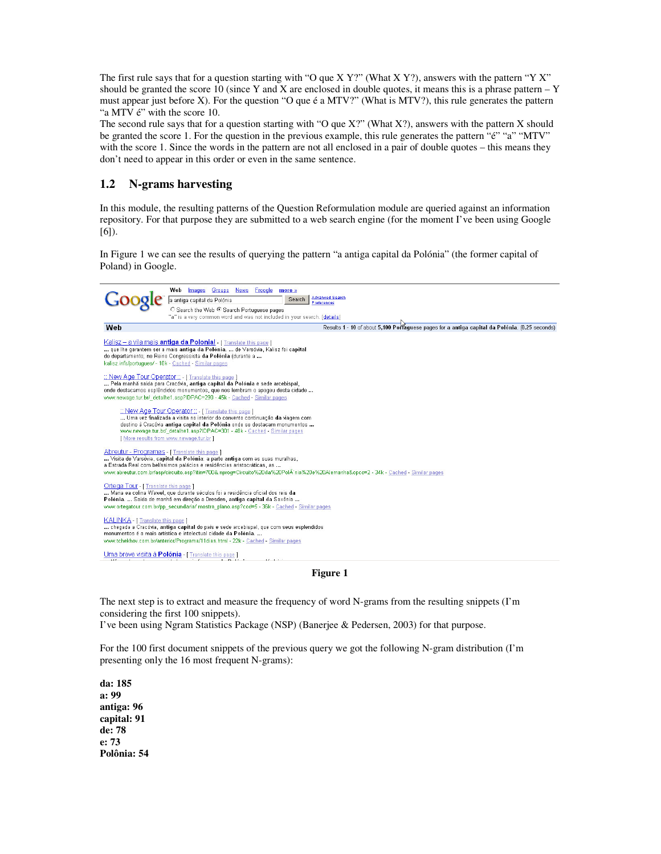The first rule says that for a question starting with "O que X Y?" (What X Y?), answers with the pattern "Y X" should be granted the score 10 (since Y and X are enclosed in double quotes, it means this is a phrase pattern – Y must appear just before X). For the question "O que é a MTV?" (What is MTV?), this rule generates the pattern "a MTV é" with the score 10.

The second rule says that for a question starting with "O que X?" (What X?), answers with the pattern X should be granted the score 1. For the question in the previous example, this rule generates the pattern "é" "a" "MTV" with the score 1. Since the words in the pattern are not all enclosed in a pair of double quotes – this means they don't need to appear in this order or even in the same sentence.

### **1.2 N-grams harvesting**

In this module, the resulting patterns of the Question Reformulation module are queried against an information repository. For that purpose they are submitted to a web search engine (for the moment I've been using Google [6]).

In Figure 1 we can see the results of querying the pattern "a antiga capital da Polónia" (the former capital of Poland) in Google.



#### **Figure 1**

The next step is to extract and measure the frequency of word N-grams from the resulting snippets (I'm considering the first 100 snippets).

I've been using Ngram Statistics Package (NSP) (Banerjee & Pedersen, 2003) for that purpose.

For the 100 first document snippets of the previous query we got the following N-gram distribution (I'm presenting only the 16 most frequent N-grams):

**da: 185 a: 99 antiga: 96 capital: 91 de: 78 e: 73 Polônia: 54**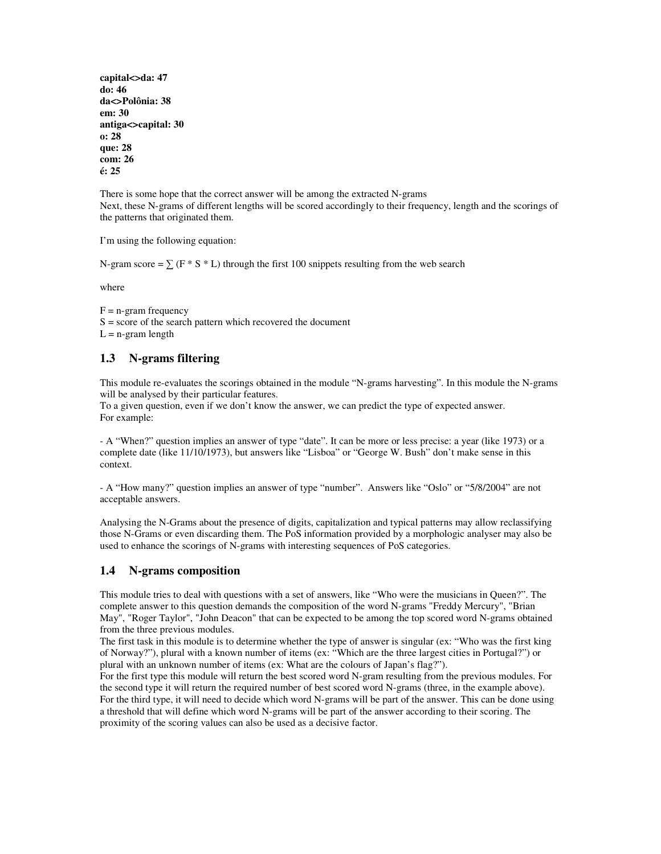**capital<>da: 47 do: 46 da<>Polônia: 38 em: 30 antiga<>capital: 30 o: 28 que: 28 com: 26 é: 25**

There is some hope that the correct answer will be among the extracted N-grams Next, these N-grams of different lengths will be scored accordingly to their frequency, length and the scorings of the patterns that originated them.

I'm using the following equation:

N-gram score =  $\sum$  (F \* S \* L) through the first 100 snippets resulting from the web search

where

 $F = n$ -gram frequency

 $S =$  score of the search pattern which recovered the document

 $L = n$ -gram length

#### **1.3 N-grams filtering**

This module re-evaluates the scorings obtained in the module "N-grams harvesting". In this module the N-grams will be analysed by their particular features.

To a given question, even if we don't know the answer, we can predict the type of expected answer. For example:

- A "When?" question implies an answer of type "date". It can be more or less precise: a year (like 1973) or a complete date (like 11/10/1973), but answers like "Lisboa" or "George W. Bush" don't make sense in this context.

- A "How many?" question implies an answer of type "number". Answers like "Oslo" or "5/8/2004" are not acceptable answers.

Analysing the N-Grams about the presence of digits, capitalization and typical patterns may allow reclassifying those N-Grams or even discarding them. The PoS information provided by a morphologic analyser may also be used to enhance the scorings of N-grams with interesting sequences of PoS categories.

#### **1.4 N-grams composition**

This module tries to deal with questions with a set of answers, like "Who were the musicians in Queen?". The complete answer to this question demands the composition of the word N-grams "Freddy Mercury", "Brian May", "Roger Taylor", "John Deacon" that can be expected to be among the top scored word N-grams obtained from the three previous modules.

The first task in this module is to determine whether the type of answer is singular (ex: "Who was the first king of Norway?"), plural with a known number of items (ex: "Which are the three largest cities in Portugal?") or plural with an unknown number of items (ex: What are the colours of Japan's flag?").

For the first type this module will return the best scored word N-gram resulting from the previous modules. For the second type it will return the required number of best scored word N-grams (three, in the example above). For the third type, it will need to decide which word N-grams will be part of the answer. This can be done using a threshold that will define which word N-grams will be part of the answer according to their scoring. The proximity of the scoring values can also be used as a decisive factor.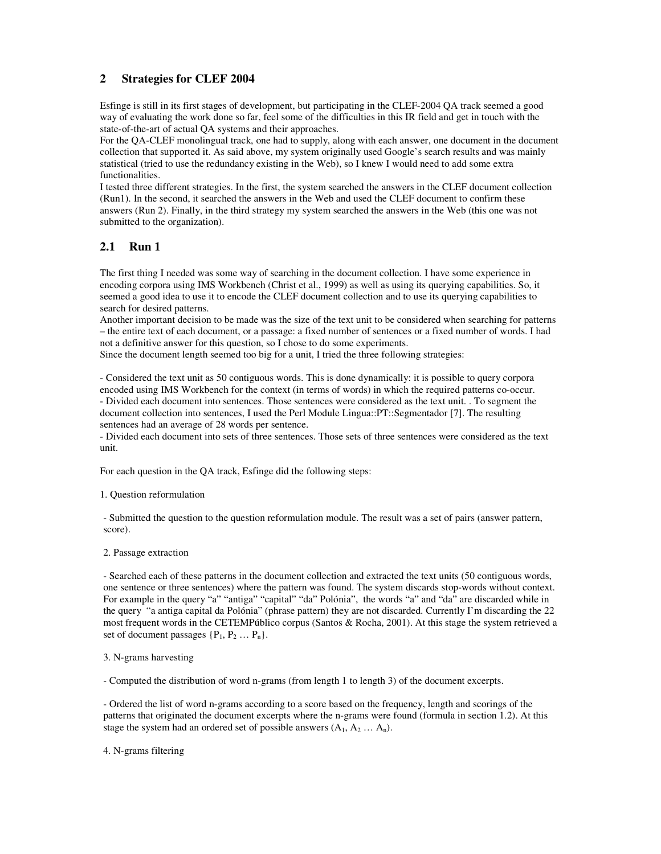## **2 Strategies for CLEF 2004**

Esfinge is still in its first stages of development, but participating in the CLEF-2004 QA track seemed a good way of evaluating the work done so far, feel some of the difficulties in this IR field and get in touch with the state-of-the-art of actual QA systems and their approaches.

For the QA-CLEF monolingual track, one had to supply, along with each answer, one document in the document collection that supported it. As said above, my system originally used Google's search results and was mainly statistical (tried to use the redundancy existing in the Web), so I knew I would need to add some extra functionalities.

I tested three different strategies. In the first, the system searched the answers in the CLEF document collection (Run1). In the second, it searched the answers in the Web and used the CLEF document to confirm these answers (Run 2). Finally, in the third strategy my system searched the answers in the Web (this one was not submitted to the organization).

## **2.1 Run 1**

The first thing I needed was some way of searching in the document collection. I have some experience in encoding corpora using IMS Workbench (Christ et al., 1999) as well as using its querying capabilities. So, it seemed a good idea to use it to encode the CLEF document collection and to use its querying capabilities to search for desired patterns.

Another important decision to be made was the size of the text unit to be considered when searching for patterns – the entire text of each document, or a passage: a fixed number of sentences or a fixed number of words. I had not a definitive answer for this question, so I chose to do some experiments.

Since the document length seemed too big for a unit, I tried the three following strategies:

- Considered the text unit as 50 contiguous words. This is done dynamically: it is possible to query corpora encoded using IMS Workbench for the context (in terms of words) in which the required patterns co-occur. - Divided each document into sentences. Those sentences were considered as the text unit. . To segment the document collection into sentences, I used the Perl Module Lingua::PT::Segmentador [7]. The resulting sentences had an average of 28 words per sentence.

- Divided each document into sets of three sentences. Those sets of three sentences were considered as the text unit.

For each question in the QA track, Esfinge did the following steps:

#### 1. Question reformulation

- Submitted the question to the question reformulation module. The result was a set of pairs (answer pattern, score).

#### 2. Passage extraction

- Searched each of these patterns in the document collection and extracted the text units (50 contiguous words, one sentence or three sentences) where the pattern was found. The system discards stop-words without context. For example in the query "a" "antiga" "capital" "da" Polónia", the words "a" and "da" are discarded while in the query "a antiga capital da Polónia" (phrase pattern) they are not discarded. Currently I'm discarding the 22 most frequent words in the CETEMPúblico corpus (Santos & Rocha, 2001). At this stage the system retrieved a set of document passages  $\{P_1, P_2 \dots P_n\}$ .

#### 3. N-grams harvesting

- Computed the distribution of word n-grams (from length 1 to length 3) of the document excerpts.

- Ordered the list of word n-grams according to a score based on the frequency, length and scorings of the patterns that originated the document excerpts where the n-grams were found (formula in section 1.2). At this stage the system had an ordered set of possible answers  $(A_1, A_2 ... A_n)$ .

4. N-grams filtering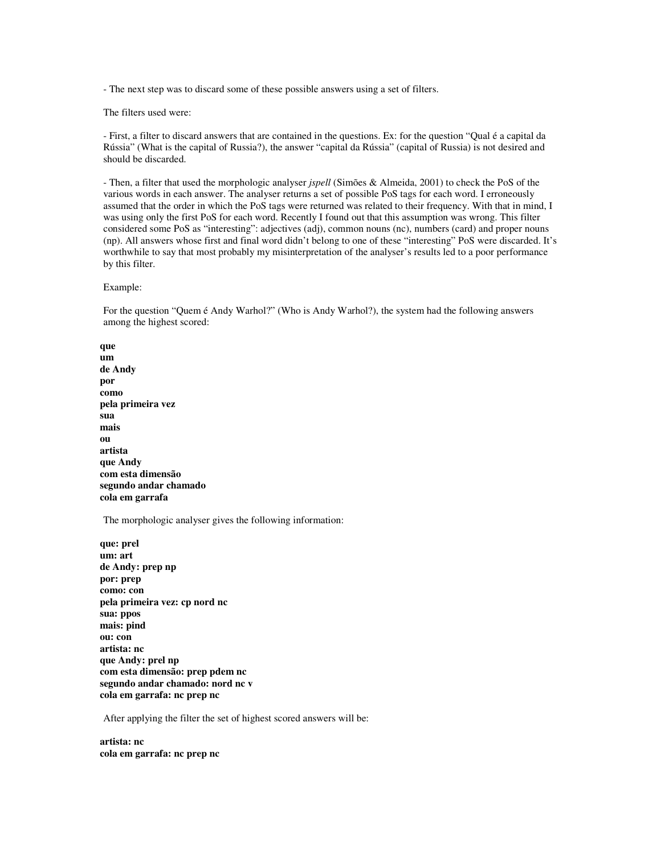- The next step was to discard some of these possible answers using a set of filters.

The filters used were:

- First, a filter to discard answers that are contained in the questions. Ex: for the question "Qual é a capital da Rússia" (What is the capital of Russia?), the answer "capital da Rússia" (capital of Russia) is not desired and should be discarded.

- Then, a filter that used the morphologic analyser *jspell* (Simões & Almeida, 2001) to check the PoS of the various words in each answer. The analyser returns a set of possible PoS tags for each word. I erroneously assumed that the order in which the PoS tags were returned was related to their frequency. With that in mind, I was using only the first PoS for each word. Recently I found out that this assumption was wrong. This filter considered some PoS as "interesting": adjectives (adj), common nouns (nc), numbers (card) and proper nouns (np). All answers whose first and final word didn't belong to one of these "interesting" PoS were discarded. It's worthwhile to say that most probably my misinterpretation of the analyser's results led to a poor performance by this filter.

Example:

For the question "Quem é Andy Warhol?" (Who is Andy Warhol?), the system had the following answers among the highest scored:

**que**

**um de Andy por como pela primeira vez sua mais ou artista que Andy com esta dimensão segundo andar chamado cola em garrafa**

The morphologic analyser gives the following information:

**que: prel um: art de Andy: prep np por: prep como: con pela primeira vez: cp nord nc sua: ppos mais: pind ou: con artista: nc que Andy: prel np com esta dimensão: prep pdem nc segundo andar chamado: nord nc v cola em garrafa: nc prep nc**

After applying the filter the set of highest scored answers will be:

**artista: nc cola em garrafa: nc prep nc**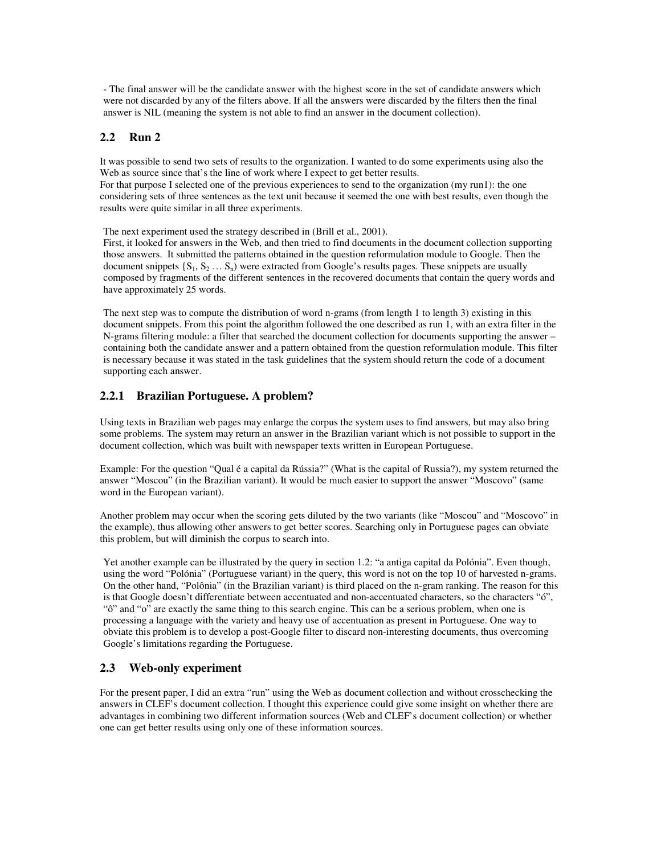- The final answer will be the candidate answer with the highest score in the set of candidate answers which were not discarded by any of the filters above. If all the answers were discarded by the filters then the final answer is NIL (meaning the system is not able to find an answer in the document collection).

### **2.2 Run 2**

It was possible to send two sets of results to the organization. I wanted to do some experiments using also the Web as source since that's the line of work where I expect to get better results. For that purpose I selected one of the previous experiences to send to the organization (my run1): the one considering sets of three sentences as the text unit because it seemed the one with best results, even though the results were quite similar in all three experiments.

The next experiment used the strategy described in (Brill et al., 2001).

First, it looked for answers in the Web, and then tried to find documents in the document collection supporting those answers. It submitted the patterns obtained in the question reformulation module to Google. Then the document snippets  $\{S_1, S_2, \ldots, S_n\}$  were extracted from Google's results pages. These snippets are usually composed by fragments of the different sentences in the recovered documents that contain the query words and have approximately 25 words.

The next step was to compute the distribution of word n-grams (from length 1 to length 3) existing in this document snippets. From this point the algorithm followed the one described as run 1, with an extra filter in the N-grams filtering module: a filter that searched the document collection for documents supporting the answer – containing both the candidate answer and a pattern obtained from the question reformulation module. This filter is necessary because it was stated in the task guidelines that the system should return the code of a document supporting each answer.

#### **2.2.1 Brazilian Portuguese. A problem?**

Using texts in Brazilian web pages may enlarge the corpus the system uses to find answers, but may also bring some problems. The system may return an answer in the Brazilian variant which is not possible to support in the document collection, which was built with newspaper texts written in European Portuguese.

Example: For the question "Qual é a capital da Rússia?" (What is the capital of Russia?), my system returned the answer "Moscou" (in the Brazilian variant). It would be much easier to support the answer "Moscovo" (same word in the European variant).

Another problem may occur when the scoring gets diluted by the two variants (like "Moscou" and "Moscovo" in the example), thus allowing other answers to get better scores. Searching only in Portuguese pages can obviate this problem, but will diminish the corpus to search into.

Yet another example can be illustrated by the query in section 1.2: "a antiga capital da Polónia". Even though, using the word "Polónia" (Portuguese variant) in the query, this word is not on the top 10 of harvested n-grams. On the other hand, "Polônia" (in the Brazilian variant) is third placed on the n-gram ranking. The reason for this is that Google doesn't differentiate between accentuated and non-accentuated characters, so the characters "ó", "ô" and "o" are exactly the same thing to this search engine. This can be a serious problem, when one is processing a language with the variety and heavy use of accentuation as present in Portuguese. One way to obviate this problem is to develop a post-Google filter to discard non-interesting documents, thus overcoming Google's limitations regarding the Portuguese.

#### **2.3 Web-only experiment**

For the present paper, I did an extra "run" using the Web as document collection and without crosschecking the answers in CLEF's document collection. I thought this experience could give some insight on whether there are advantages in combining two different information sources (Web and CLEF's document collection) or whether one can get better results using only one of these information sources.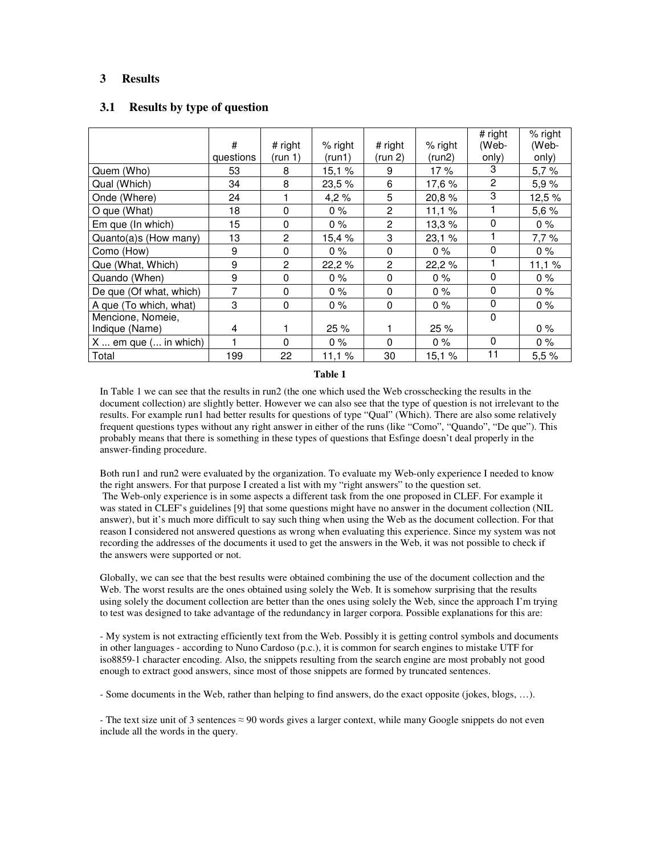#### **3 Results**

|                                     | #         | # right        | % right | # right        | % right | # right<br>(Web- | % right<br>(Web- |
|-------------------------------------|-----------|----------------|---------|----------------|---------|------------------|------------------|
|                                     | questions | (run 1)        | (run1)  | (run 2)        | (run2)  | only)            | only)            |
| Quem (Who)                          | 53        | 8              | 15,1%   | 9              | 17 %    | 3                | 5,7%             |
| Qual (Which)                        | 34        | 8              | 23,5 %  | 6              | 17,6 %  | $\overline{2}$   | 5,9%             |
| Onde (Where)                        | 24        | 1              | 4,2%    | 5              | 20,8%   | 3                | 12,5%            |
| O que (What)                        | 18        | 0              | $0\%$   | $\overline{c}$ | 11,1%   |                  | 5,6 %            |
| Em que (In which)                   | 15        | 0              | $0\%$   | $\overline{2}$ | 13,3%   | 0                | $0\%$            |
| Quanto(a)s (How many)               | 13        | $\overline{c}$ | 15,4 %  | 3              | 23,1%   | 1                | 7,7%             |
| Como (How)                          | 9         | 0              | $0\%$   | $\mathbf 0$    | $0\%$   | $\mathbf 0$      | $0\%$            |
| Que (What, Which)                   | 9         | $\overline{2}$ | 22,2%   | $\overline{2}$ | 22,2%   |                  | 11,1%            |
| Quando (When)                       | 9         | 0              | $0\%$   | $\Omega$       | $0\%$   | $\mathbf 0$      | $0\%$            |
| De que (Of what, which)             | 7         | $\Omega$       | $0\%$   | $\Omega$       | $0\%$   | $\Omega$         | $0\%$            |
| A que (To which, what)              | 3         | 0              | $0\%$   | 0              | $0\%$   | $\mathbf 0$      | $0\%$            |
| Mencione, Nomeie,                   |           |                |         |                |         | $\Omega$         |                  |
| Indique (Name)                      | 4         |                | 25 %    |                | 25 %    |                  | $0\%$            |
| $X \dots$ em que $(\dots$ in which) |           | 0              | $0\%$   | $\Omega$       | $0\%$   | $\Omega$         | $0\%$            |
| Total                               | 199       | 22             | 11,1%   | 30             | 15,1 %  | 11               | 5,5 %            |

#### **3.1 Results by type of question**

#### **Table 1**

In Table 1 we can see that the results in run2 (the one which used the Web crosschecking the results in the document collection) are slightly better. However we can also see that the type of question is not irrelevant to the results. For example run1 had better results for questions of type "Qual" (Which). There are also some relatively frequent questions types without any right answer in either of the runs (like "Como", "Quando", "De que"). This probably means that there is something in these types of questions that Esfinge doesn't deal properly in the answer-finding procedure.

Both run1 and run2 were evaluated by the organization. To evaluate my Web-only experience I needed to know the right answers. For that purpose I created a list with my "right answers" to the question set. The Web-only experience is in some aspects a different task from the one proposed in CLEF. For example it was stated in CLEF's guidelines [9] that some questions might have no answer in the document collection (NIL answer), but it's much more difficult to say such thing when using the Web as the document collection. For that reason I considered not answered questions as wrong when evaluating this experience. Since my system was not recording the addresses of the documents it used to get the answers in the Web, it was not possible to check if the answers were supported or not.

Globally, we can see that the best results were obtained combining the use of the document collection and the Web. The worst results are the ones obtained using solely the Web. It is somehow surprising that the results using solely the document collection are better than the ones using solely the Web, since the approach I'm trying to test was designed to take advantage of the redundancy in larger corpora. Possible explanations for this are:

- My system is not extracting efficiently text from the Web. Possibly it is getting control symbols and documents in other languages - according to Nuno Cardoso (p.c.), it is common for search engines to mistake UTF for iso8859-1 character encoding. Also, the snippets resulting from the search engine are most probably not good enough to extract good answers, since most of those snippets are formed by truncated sentences.

- Some documents in the Web, rather than helping to find answers, do the exact opposite (jokes, blogs, …).

- The text size unit of 3 sentences  $\approx$  90 words gives a larger context, while many Google snippets do not even include all the words in the query.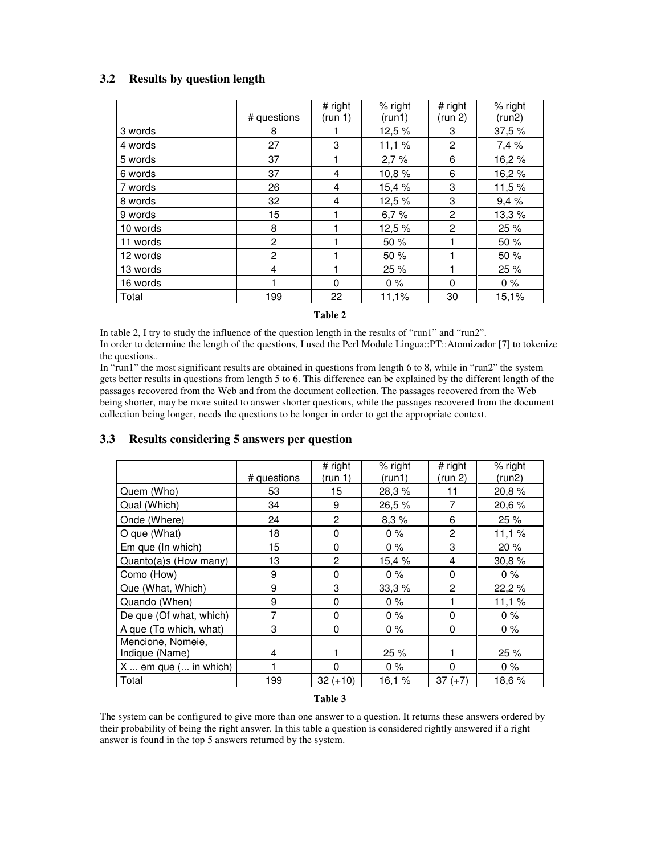|  |  |  | 3.2 Results by question length |  |
|--|--|--|--------------------------------|--|
|--|--|--|--------------------------------|--|

|          | # questions | # right<br>(run 1) | % right<br>(run1) | # right<br>(run 2) | % right<br>(run2) |
|----------|-------------|--------------------|-------------------|--------------------|-------------------|
|          |             |                    |                   |                    |                   |
| 3 words  | 8           |                    | 12,5%             | 3                  | 37,5%             |
| 4 words  | 27          | 3                  | 11,1%             | 2                  | 7,4 %             |
| 5 words  | 37          |                    | 2,7%              | 6                  | 16,2%             |
| 6 words  | 37          | 4                  | 10,8%             | 6                  | 16,2%             |
| 7 words  | 26          | 4                  | 15,4 %            | 3                  | 11,5 %            |
| 8 words  | 32          | 4                  | 12,5 %            | 3                  | 9,4%              |
| 9 words  | 15          |                    | 6,7%              | 2                  | 13,3%             |
| 10 words | 8           |                    | 12,5 %            | 2                  | 25 %              |
| 11 words | 2           |                    | 50 %              | 1                  | 50 %              |
| 12 words | 2           |                    | 50 %              |                    | 50 %              |
| 13 words | 4           |                    | 25 %              |                    | 25 %              |
| 16 words |             | 0                  | $0\%$             | 0                  | $0\%$             |
| Total    | 199         | 22                 | 11,1%             | 30                 | 15,1%             |

### **Table 2**

In table 2, I try to study the influence of the question length in the results of "run1" and "run2". In order to determine the length of the questions, I used the Perl Module Lingua::PT::Atomizador [7] to tokenize the questions..

In "run1" the most significant results are obtained in questions from length 6 to 8, while in "run2" the system gets better results in questions from length 5 to 6. This difference can be explained by the different length of the passages recovered from the Web and from the document collection. The passages recovered from the Web being shorter, may be more suited to answer shorter questions, while the passages recovered from the document collection being longer, needs the questions to be longer in order to get the appropriate context.

|                                     |             | # right        | % right | # right        | % right |
|-------------------------------------|-------------|----------------|---------|----------------|---------|
|                                     | # questions | (run 1)        | (run1)  | (run 2)        | (run2)  |
| Quem (Who)                          | 53          | 15             | 28,3%   | 11             | 20,8%   |
| Qual (Which)                        | 34          | 9              | 26,5%   | 7              | 20,6%   |
| Onde (Where)                        | 24          | $\overline{2}$ | 8,3%    | 6              | 25 %    |
| O que (What)                        | 18          | 0              | $0\%$   | $\mathbf{2}$   | 11,1%   |
| Em que (In which)                   | 15          | 0              | $0\%$   | 3              | 20 %    |
| Quanto(a)s (How many)               | 13          | $\overline{2}$ | 15,4 %  | 4              | 30,8%   |
| Como (How)                          | 9           | 0              | $0\%$   | $\mathbf 0$    | $0\%$   |
| Que (What, Which)                   | 9           | 3              | 33,3%   | $\overline{2}$ | 22,2 %  |
| Quando (When)                       | 9           | 0              | $0\%$   | 1              | 11,1%   |
| De que (Of what, which)             | 7           | 0              | $0\%$   | 0              | $0\%$   |
| A que (To which, what)              | 3           | 0              | $0\%$   | $\mathbf 0$    | $0\%$   |
| Mencione, Nomeie,                   |             |                |         |                |         |
| Indique (Name)                      | 4           |                | 25 %    |                | 25 %    |
| $X \dots$ em que $(\dots$ in which) |             | $\Omega$       | $0\%$   | $\Omega$       | $0\%$   |
| Total                               | 199         | $32 (+10)$     | 16,1%   | $37 (+7)$      | 18,6 %  |

## **3.3 Results considering 5 answers per question**

#### **Table 3**

The system can be configured to give more than one answer to a question. It returns these answers ordered by their probability of being the right answer. In this table a question is considered rightly answered if a right answer is found in the top 5 answers returned by the system.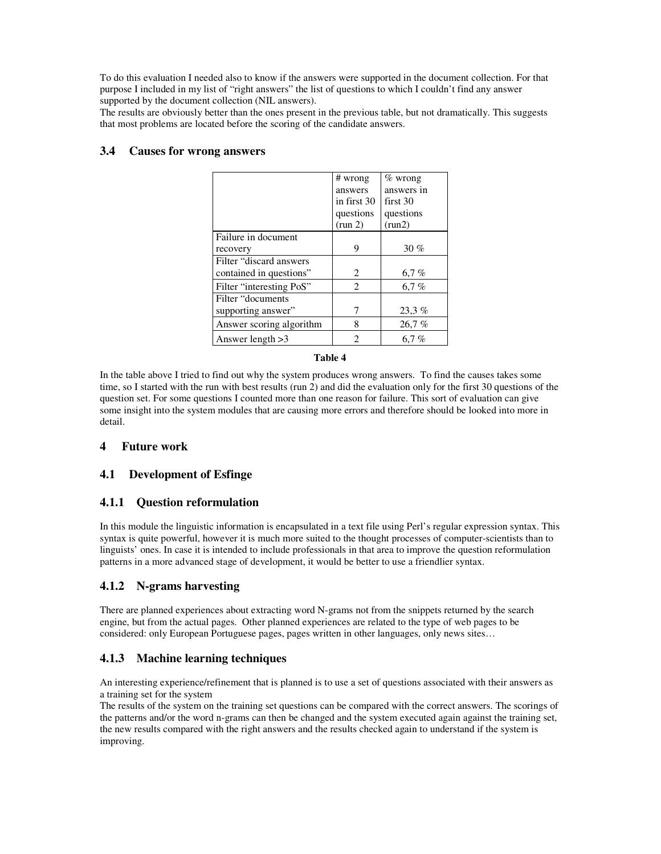To do this evaluation I needed also to know if the answers were supported in the document collection. For that purpose I included in my list of "right answers" the list of questions to which I couldn't find any answer supported by the document collection (NIL answers).

The results are obviously better than the ones present in the previous table, but not dramatically. This suggests that most problems are located before the scoring of the candidate answers.

### **3.4 Causes for wrong answers**

|                          | $#$ wrong                   | $\%$ wrong |
|--------------------------|-----------------------------|------------|
|                          | answers                     | answers in |
|                          | in first 30                 | first 30   |
|                          | questions                   | questions  |
|                          | (run 2)                     | (run2)     |
| Failure in document      |                             |            |
| recovery                 | 9                           | 30%        |
| Filter "discard answers  |                             |            |
| contained in questions"  | 2                           | 6,7%       |
| Filter "interesting PoS" | $\mathfrak{D}$              | 6.7%       |
| Filter "documents"       |                             |            |
| supporting answer"       | 7                           | $23.3\%$   |
| Answer scoring algorithm | 8                           | 26,7%      |
| Answer length $>3$       | $\mathcal{D}_{\mathcal{L}}$ | 6.7%       |

#### **Table 4**

In the table above I tried to find out why the system produces wrong answers. To find the causes takes some time, so I started with the run with best results (run 2) and did the evaluation only for the first 30 questions of the question set. For some questions I counted more than one reason for failure. This sort of evaluation can give some insight into the system modules that are causing more errors and therefore should be looked into more in detail.

#### **4 Future work**

#### **4.1 Development of Esfinge**

#### **4.1.1 Question reformulation**

In this module the linguistic information is encapsulated in a text file using Perl's regular expression syntax. This syntax is quite powerful, however it is much more suited to the thought processes of computer-scientists than to linguists' ones. In case it is intended to include professionals in that area to improve the question reformulation patterns in a more advanced stage of development, it would be better to use a friendlier syntax.

## **4.1.2 N-grams harvesting**

There are planned experiences about extracting word N-grams not from the snippets returned by the search engine, but from the actual pages. Other planned experiences are related to the type of web pages to be considered: only European Portuguese pages, pages written in other languages, only news sites…

## **4.1.3 Machine learning techniques**

An interesting experience/refinement that is planned is to use a set of questions associated with their answers as a training set for the system

The results of the system on the training set questions can be compared with the correct answers. The scorings of the patterns and/or the word n-grams can then be changed and the system executed again against the training set, the new results compared with the right answers and the results checked again to understand if the system is improving.